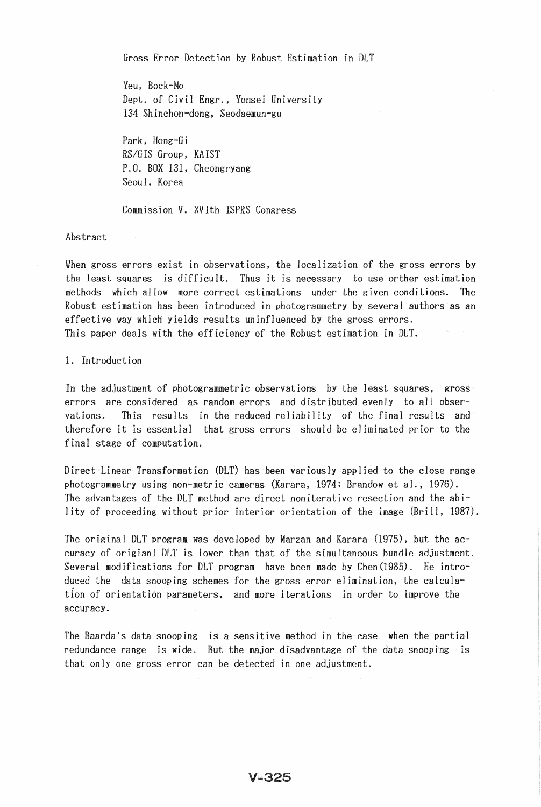Gross Error Detection by Robust Estimation in DLT

Yeu, Bock-Mo Dept. of Civil Engr., Yonsei University 134 Shinchon-dong, Seodaemun-gu

Park, Hong-Gi *RS/GIS* Group, KAIST P.O. BOX 131, Cheongryang Seoul, Korea

Commission V, XVIth ISPRS Congress

Abstract

When gross errors exist in observations, the localization of the gross errors by the least squares is difficult. Thus it is necessary to use orther estimation methods which allow more correct estimations under the given conditions. The Robust estimation has been introduced in photogrammetry by several authors as an effective way which yields results uninfluenced by the gross errors. This paper deals with the efficiency of the Robust estimation in DLT.

1. Introduct

In the adjustment of photogrammetric observations by the least squares, gross errors are considered as random errors and distributed evenly to all observations. This results in the reduced reliability of the final results and therefore it is essential that gross errors should be eliminated prior to the final stage of computation.

Direct Linear Transformation (DLT) has been variously applied to the close range photogrammetry using non-metric cameras (Karara, 1974; Brandow et al., 1976). The advantages of the DLT method are direct non iterative resection and the ability of proceeding without prior interior orientation of the image (Brill, 1987).

The original DLT program was developed by Marzan and Karara (1975), but the accuracy of origianl DLT is lower than that of the simultaneous bundle adjustment. Several modifications for DLT program have been made by Chen(1985). He introduced the data snooping schemes for the gross error elimination, the calculation of orientation parameters, and more iterations in order to improve the accuracy.

The Baarda's data snooping is a sensitive method in the case when the partial redundance range is wide. But the major disadvantage of the data snooping is that only one gross error can be detected in one adjustment.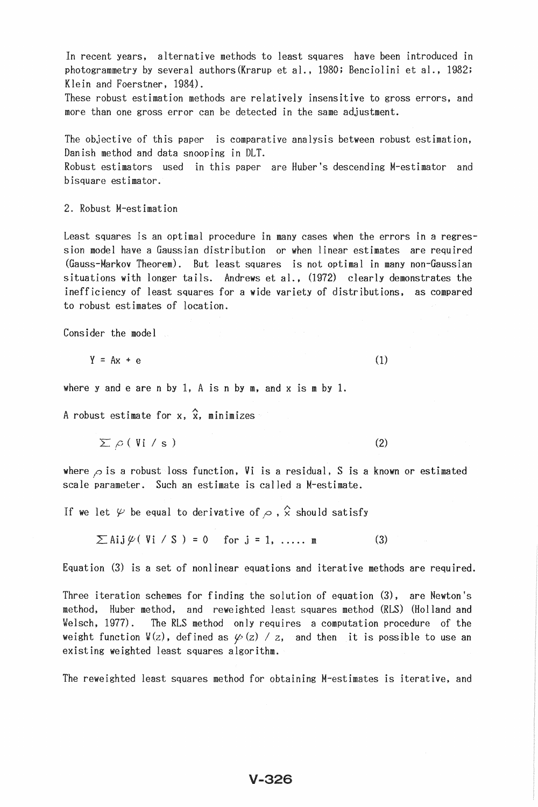In recent years, alternative methods to least squares have been introduced in photogrammetry by several authors(Krarup et al., 1980; Benciolini et al., 1982; Klein and Foerstner, 1984).

These robust estimation methods are relatively insensitive to gross errors, and more than one gross error can be detected in the same adjustment.

The objective of this paper is comparative analysis between robust estimation, Danish method and data snooping in DLT.

Robust estimators used in this paper are Huber's descending M-estimator and bisquare estimator.

2. Robust M-estimation

Least squares is an optimal procedure in many cases when the errors in a regression model have a Gaussian distribution or when linear estimates are required (Gauss-Markov Theorem). But least squares is not optimal in many non-Gaussian situations with longer tails. Andrews et al., (1972) clearly demonstrates the inefficiency of least squares for a wide variety of distributions, as compared to robust estimates of location.

Consider the model

$$
Y = Ax + e \tag{1}
$$

where y and e are n by 1, A is n by m, and x is m by 1.

A robust estimate for x,  $\hat{x}$ , minimizes

 $\sum \rho$  ( Vi / s) (2)

where  $\rho$  is a robust loss function, Vi is a residual, S is a known or estimated scale parameter. Such an estimate is called a M-estimate.

If we let  $\psi$  be equal to derivative of  $\rho$ ,  $\hat{\chi}$  should satisfy

 $\sum$ Aij $\psi$ (Vi/S) = 0 for j = 1, .... m (3)

Equation (3) is a set of nonlinear equations and iterative methods are required.

Three iteration schemes for finding the solution of equation (3), are Newton's method, Huber method, and reweighted least squares method (RLS) (Holland and Welsch, 1977). The RLS method only requires a computation procedure of the weight function  $\mathbb{V}(z)$ , defined as  $\varphi(z)$  / z, and then it is possible to use an existing weighted least squares algorithm.

The reweighted least squares method for obtaining M-estimates is iterative, and

## V-326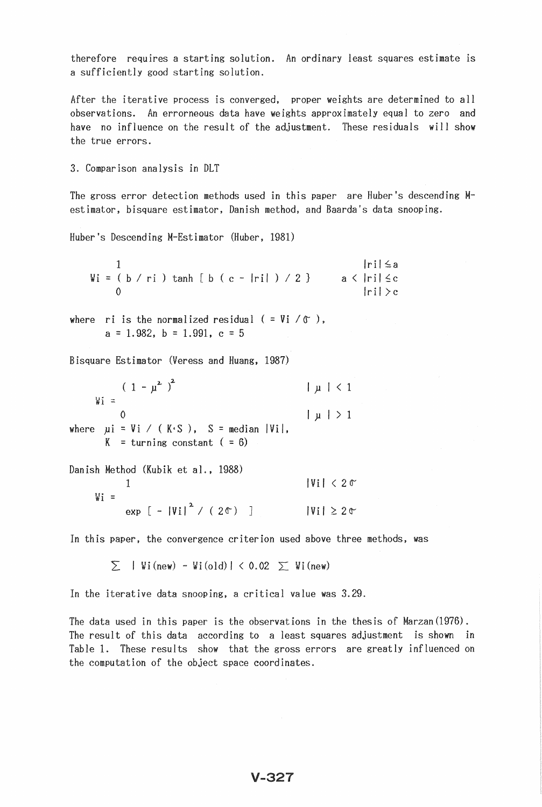therefore requires a starting solution. An ordinary least squares estimate is a sufficiently good starting solution.

After the iterative process is converged, proper weights are determined to all observations. An errorneous data have weights approximately equal to zero and have no influence on the result of the adjustment. These residuals will show the true errors.

3. Comparison analysis in DLT

The gross error detection methods used in this paper are Huber's descending Mestimator, bisquare estimator, Danish method, and Baarda's data snooping.

Huber's Descending M-Estimator (Huber, 1981)

|  |  |  |                                        |  |  |  |  |  |  | ri ≤a               |
|--|--|--|----------------------------------------|--|--|--|--|--|--|---------------------|
|  |  |  | $Wi = (b / ri) tanh [b (c -  ri ) / 2$ |  |  |  |  |  |  | $a \lt  ri  \leq c$ |
|  |  |  |                                        |  |  |  |  |  |  | r i  > c            |

where ri is the normalized residual  $( = Vi / \mathcal{T})$ ,  $a = 1.982$ ,  $b = 1.991$ ,  $c = 5$ 

Bisquare Estimator (Veress and Huang, 1987)

 $(1 - \mu^2)^2$   $|\mu| < 1$  $W_1$  = o where  $\mu i = Vi / (K.S.)$ ,  $S = median |Vi|$ ,  $K =$  turning constant ( = 6)  $| \mu | > 1$ 

|        | Danish Method (Kubik et al., 1988) |                      |
|--------|------------------------------------|----------------------|
|        |                                    | $ V_1  < 20$         |
| $Wi =$ |                                    |                      |
|        | exp $[- V_1 ^2 / (2\text{C})]$     | $ V_i  \geq 2\sigma$ |

In this paper, the convergence criterion used above three methods, was

 $\sum$  | Wi(new) - Wi(old) | < 0.02  $\sum$  Wi(new)

In the iterative data snooping, a critical value was 3.29.

The data used in this paper is the observations in the thesis of Marzan(1976). The result of this data according to a least squares adjustment is shown in Table 1. These results show that the gross errors are greatly influenced on the computation of the object space coordinates.

## $V - 327$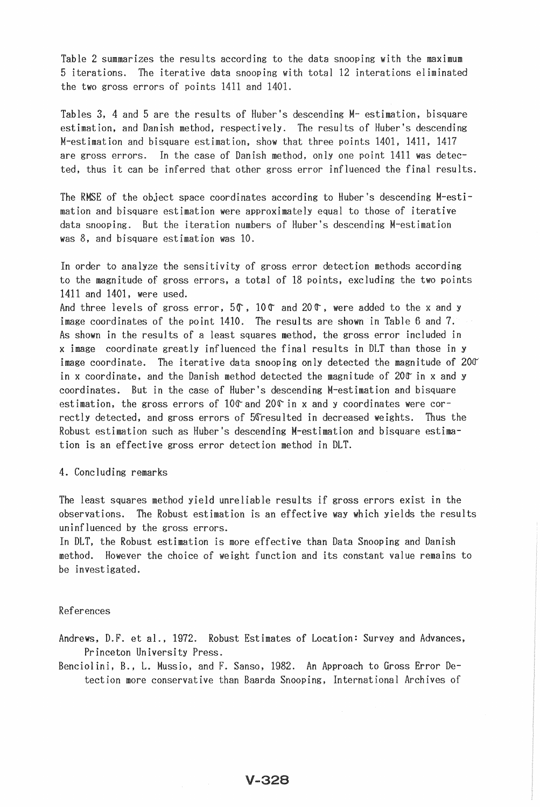Table 2 summarizes the results according to the data snooping with the maximum 5 iterations. The iterative data snooping with total 12 interations eliminated the two gross errors of points 1411 and 1401.

Tables 3, 4 and 5 are the results of Huber's descending M- estimation, bisquare estimation, and Danish method, respectively. The results of Huber's descending M-estimation and bisquare estimation, show that three points 1401, 1411, 1417 are gross errors. In the case of Danish method, only one point 1411 was detected, thus it can be inferred that other gross error influenced the final resu

The RMSE of the object space coordinates according to Huber's descending M-estimation and bisquare estimation were approximately equal to those of iterative data snooping. But the iteration numbers of Huber's descending M-estimation was 8, and bisquare estimation was 10.

In order to analyze the sensitivity of gross error detection methods according to the magnitude of gross errors, a total of 18 points, excluding the two points 1411 and 1401, were used.

And three levels of gross error,  $5\degree$ ,  $10\degree$  and  $20\degree$ , were added to the x and y image coordinates of the point 1410. The results are shown in Table 6 and 7. As shown in the results of a least squares method, the gross error included in x image coordinate greatly influenced the final results in DLT than those in y image coordinate. The iterative data snooping only detected the magnitude of  $200^{\circ}$ in x coordinate, and the Danish method detected the magnitude of 200 in x and y coordinates. But in the case of Huber's descending M-estimation and bisquare estimation, the gross errors of 10 $\mathcal C$  and 20 $\mathcal C$  in x and y coordinates were correctly detected, and gross errors of 5Gresulted in decreased weights. Thus the Robust estimation such as Huber's descending M-estimation and bisquare estimation is an effective gross error detection method in DLT.

### 4. Concluding remarks

The least squares method yield unreliable results if gross errors exist in the observations. The Robust estimation is an effective way which yields the results uninfluenced by the gross errors.

In DLT, the Robust estimation is more effective than Data Snooping and Danish method. However the choice of weight function and its constant value remains to be investigated.

#### References

Andrews, D.F. et al., 1972. Robust Estimates of Location: Survey and Advances, Princeton University Press.

Benciolini, B., L. Mussio, and F. Sanso, 1982. An Approach to Gross Error Detection more conservative than Baarda Snooping, International Archives of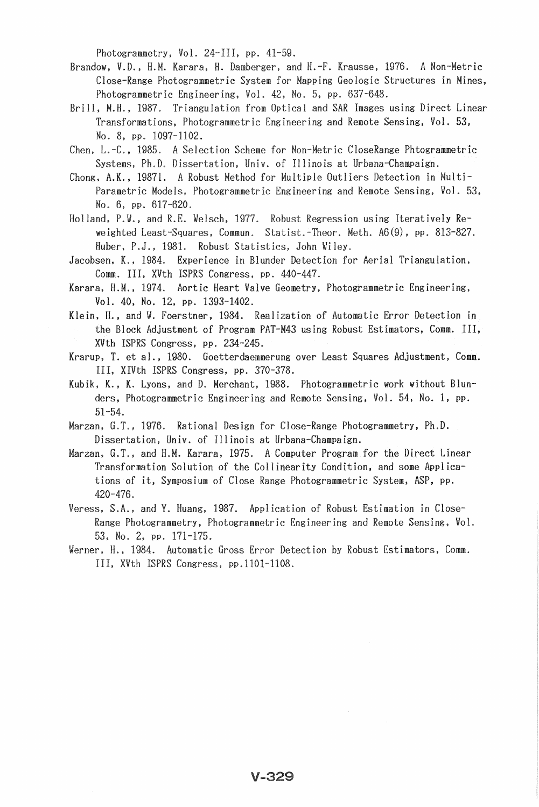Photogrammetry, Vol. 24-III, pp. 41-59.

- Photogrammetric Engineering, Vol. 42, No. 5, pp. 637-648. Brandow, V.D., H.M. Karara, H. Damberger, and H.-F. Krausse, 1976. A Non-Metric Close-Range Photogrammetric System for Mapping Geologic Structures in Mines,
- ll, M.H., 1987. Triangulation from Optical and SAR Images using Direct Linear Transformations, Engineering Remote Sensing, Vol. 53, No.8, PP. 1097-1102.
- Chen, L.-C., 1985. A Selection Scheme for Non-Metric CloseRange Phtogrammetric Systems, Ph.D. Dissertation, Univ. of Illinois at Urbana-Champaign.
- , 1987l. A Robust Method for Multiple Outliers Detection in Multiic Models, Photogrammetric Engineering and Remote Sensing, Vol. 53, No. 6, pp. 617-620.
- Holland, P.W., and R.E. Welsch, 1977. Robust Regression using Iteratively Reweighted Least-Squares, Commun. Statist.-Theor. Meth. A6(9), pp. 813-827. Huber, P.J., 1981. Robust Statistics, John Wiley.
- Jacobsen, K., 1984. Experience in Blunder Detection for Aerial Triangulation, Comm. III, XVth ISPRS Congress, pp. 440-447.
- Karara, H.M., 1974. Aortic Heart Valve Geometry, Photogrammetric Engineering, Vol. 40, No. 12, pp. 1393-1402.
- Klein, H., and W. Foerstner, 1984. Realization of Automatic Error Detection in the Block Adjustment of Program PAT-M43 using Robust Estimators, Comm. III, XVth ISPRS Congress, pp. 234-245.

Krarup, T. et al., 1980. Goetterdaemmerung over Least Squares Adjustment, Comm. III, XIVth ISPRS Congress, pp. 370-378.

- Kubik, K., K. Lyons, and D. Merchant, 1988. Photogrammetric work without Blunders, Photogrammetric Engineering and Remote Sensing, Vol. 54, No. 1, pp.  $51 - 54.$
- G.T., 1976. Rational Design for Close-Range Photogrammetry, Ph.D. Dissertation, Univ. Illinois at Urbana-Champaign.
- , G.T., and H.M. Karara, 1975. A Computer Program for the Direct Linear Transformation Solution of the Collinearity Condition, and some Applications of it, Symposium of Close Range Photogrammetric System, ASP, pp.  $420 - 476.$
- Veress, S.A., and Y. Huang, 1987. Application of Robust Estimation in Close-Range Photogrammetry, Photogrammetric Engineering and Remote Sensing, Vol. 53, No. 2, pp. 171-175.
- Werner, H., 1984. Automatic Gross Error Detection by Robust Estimators, Comm. III, XVth ISPRS Congress, pp.1101-1108.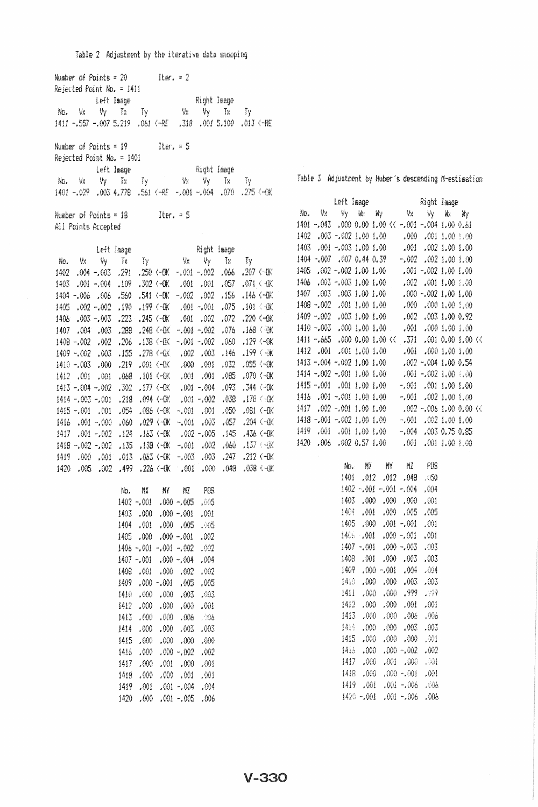| Number of Points = $20$ Iter. = $2$ |                                                           |                                                                                                                              |                |
|-------------------------------------|-----------------------------------------------------------|------------------------------------------------------------------------------------------------------------------------------|----------------|
| Rejected Point No. = 1411           |                                                           |                                                                                                                              |                |
|                                     |                                                           |                                                                                                                              |                |
|                                     |                                                           |                                                                                                                              |                |
|                                     |                                                           | 1411 -.557 -.007 5.219 .061 <-RE .318 .001 5.100 .013 <-RE                                                                   |                |
|                                     |                                                           |                                                                                                                              |                |
| Number of Points = $19$ Iter, = 5   |                                                           |                                                                                                                              |                |
| Rejected Point No. = 1401           |                                                           |                                                                                                                              |                |
|                                     |                                                           |                                                                                                                              |                |
|                                     |                                                           | Left Image<br>No. Vx Vy Tx Ty : Vx Vy Tx Ty                                                                                  |                |
|                                     |                                                           | 1401 -.029 .003 4.778 .561 (-RE -.001 -.004 .070 .275 (-0X                                                                   |                |
|                                     |                                                           |                                                                                                                              |                |
| Number of Points = $18$ Iter. = 5   |                                                           |                                                                                                                              |                |
| All Points Accepted                 |                                                           |                                                                                                                              |                |
|                                     |                                                           |                                                                                                                              |                |
|                                     |                                                           | Left Image<br>No. Vs Vy Tx Ty Vs Vy Tx Ty<br>1402.004-003.291.250<br>C-OK -.001-002.066.207<br>C-OK                          |                |
|                                     |                                                           |                                                                                                                              |                |
|                                     |                                                           |                                                                                                                              |                |
|                                     |                                                           | X0 \ (T0, Te0, 100, 109 \ X0 \ OC, 702 \ P0, 100, 100, 204,                                                                  |                |
|                                     |                                                           | 1404 -.006 .006 .560 .541 <-000 -.002 .002 .156 .146 <-000                                                                   |                |
| $1405$ , $002 - 002$ , $190$        |                                                           | $.199 (-0K - .001 - .001 - .075$                                                                                             | $.101 \tImes$  |
|                                     |                                                           | 1406 .003 .003 .223 .245 (-0K .001 .002 .072 .220 (-0K                                                                       |                |
|                                     |                                                           | 1407 .004 .003 .288 .248 <-0K -.001 -.002 .076 .168 \W                                                                       |                |
| 1408 - 002 - 002 - 206              |                                                           | .138 <-4K -.001 -.002 .060 .129 <-08                                                                                         |                |
|                                     |                                                           | 146. 2002. 002. ND-> 1278. 278. 2002. 003. 146                                                                               | .199 ( 张       |
| 1410 -.003 .000 .219                |                                                           | A0-1 220, 230, 100, 000, A0-1 100,                                                                                           |                |
|                                     |                                                           | 070 1412 1001 101 068 101 101 - 001 001 085 101 1412<br>1915 1413 1004 - 1004 1005 1005 1005 1005 1005 1005 1413 1005 - 1005 |                |
|                                     |                                                           |                                                                                                                              |                |
| $1414 - 003 - 001$ .218             |                                                           | $.094 \leftarrow 0$ K $.001 - .002$ $.038$                                                                                   | $.178 \div 0K$ |
| $1415 - .001 - .001 - .054$         | .086 (-0K                                                 | $-0.001$ $0.001$ $0.050$                                                                                                     | ,081 (-OK      |
| 1416 .001 -.000 .060                | .029 <sub>1</sub>                                         | $-0.001$ $0.003$ $0.057$ $0.204$ $0.001$                                                                                     |                |
|                                     |                                                           | 1417 .001 -.002 .124 .163 (-BK .002 -.005 .145 .436 .437 .001                                                                |                |
|                                     |                                                           | 1418 - 102 - 1002 - 130 - 130 - 130 - 130 - 1002 - 1002 - 1141                                                               |                |
|                                     |                                                           | 1419 .000 .001 .013 .063 <-0K -.003 .003 .247 .212 <-0K                                                                      |                |
| 1420.005.002                        |                                                           | $.499$ $.226$ $(-0)$ $.001$ $.000$                                                                                           | .048 .038 (-0K |
|                                     | No.<br>M¥<br>MY                                           | MZ<br>POS                                                                                                                    |                |
|                                     | $1402 - 001$                                              | $.000 - .005$<br>,005                                                                                                        |                |
|                                     | 1403 -<br>.000.                                           | $.000 - .001$<br>.001                                                                                                        |                |
|                                     | 1404<br>.001                                              | $.000 - .005$<br>.005                                                                                                        |                |
|                                     | 1405<br>.000.                                             | $.000 - .001$<br>.002                                                                                                        |                |
|                                     | 1406 ~.001 ~.001 ~.002                                    | .002                                                                                                                         |                |
|                                     | 1407~.001                                                 | $.000 - .004$<br>,004                                                                                                        |                |
|                                     | 1408<br>$.001$<br>.000.                                   | .002<br>.002                                                                                                                 |                |
|                                     | $100 - 000$ ,<br>1409                                     | $.005\,$<br>,005                                                                                                             |                |
|                                     | .000<br>$1000$<br>1410                                    | .003<br>.003                                                                                                                 |                |
|                                     | .000<br>.000.<br>1412                                     | .001<br>.000.                                                                                                                |                |
|                                     | $\langle \rangle \langle \rangle \rangle$<br>.000<br>1413 | .006<br>, 908                                                                                                                |                |
|                                     | .000.<br>1414<br>.000                                     | .003<br>.003                                                                                                                 |                |
|                                     | 1415<br>$900$<br>.000                                     | .000<br>$\mathcal{H}\mathbb{R}$                                                                                              |                |
|                                     | .000<br>1416                                              | $.000 - .002$<br>,002                                                                                                        |                |
|                                     | .001<br>1417<br>,000                                      | .000<br>,001                                                                                                                 |                |
|                                     | .000.<br>1418<br>.000                                     | .001<br>,001                                                                                                                 |                |
|                                     | 1419<br>, WH                                              | $.001 - .004$<br>,004                                                                                                        |                |
|                                     | 1420<br>,000                                              | $.001 - .005$<br>.006                                                                                                        |                |

Table 2 Adjustment by the iterative data snooping

Table 3 Adjustment by Huber's descending M-estimation

| $1401 - .043$ $.000$ 0.00 $1.00$ $($ $-.001 - .004$ $1.00$ 0.61 |  |                         |             |  |  |
|-----------------------------------------------------------------|--|-------------------------|-------------|--|--|
| 1402 .003 -.002 1.00 1.00                                       |  | 00.1,00.1,100           |             |  |  |
| 1403 .001 ~.003 1.00 1.00 .001 .002 1.00 1.00                   |  |                         |             |  |  |
| 1404 - 007 .007 0.44 0.39 - 002 .002 1.00 1.00                  |  |                         |             |  |  |
| 1405 .002 - 002 1.00 1.00 .001 - 002 1.00 1.00                  |  |                         |             |  |  |
| 1406.003 -.003 1.00 1.00 .002                                   |  |                         | 0011.001.00 |  |  |
| 1407 .003 .003 1.00 1.00 .000 -.002 1.00 1.00                   |  |                         |             |  |  |
| 1408 - 002 001 1.00 1.00 000 000 1.00 1.00                      |  |                         |             |  |  |
| 1409 - 002 003 1.00 1.00 002 003 1.00 0.92                      |  |                         |             |  |  |
|                                                                 |  |                         |             |  |  |
| 1411 -.665 .000 0.00 1.00 << .371 .001 0.00 1.00 << .141        |  |                         |             |  |  |
| 1412 .001 .001 1.00 1.00                                        |  | 001.001.00              |             |  |  |
| $1413 - .004 - .0021.001.00$                                    |  | $.002 - .004$ 1.00 0.54 |             |  |  |
| 1414 - 002 - 001 1.00 1.00 1001 - 002 1.00 1.00                 |  |                         |             |  |  |
|                                                                 |  |                         |             |  |  |
| 1416 .001 .001 1.00 .1.00 .001 .002 1.00. 3141                  |  |                         |             |  |  |
| 1417 .002 -.001 1.00 1.00 .002 -.006 1.00 0.00 <<               |  |                         |             |  |  |
| 1418 -.001 -.002 1.00 1.00 -.001 .002 1.00 1.00                 |  |                         |             |  |  |
| 1419 .001 .001 1.00 1.00 -.004 .003 0.75 0.85                   |  |                         |             |  |  |
| 1420 .006 .002 0.57 1.00 .001 .001 1.00 .009                    |  |                         |             |  |  |
|                                                                 |  | No. MX MY MZ POS        |             |  |  |

| .     |          |                |                   |         |
|-------|----------|----------------|-------------------|---------|
| 1401  |          | .012 .012 .048 |                   | , 150   |
| 1407  | - 001    | -.001 -.004    |                   | .004    |
| 1403  | .000     |                | $.000 \quad .000$ | . (X) 1 |
| \$40A | .001     |                | .000 .005         | .005    |
| 1405  | -900     | -601-          | - 001             | . 001   |
| 1405  | - 001    | -000           | - 001             | . 001   |
| 1407  | - 001    | .000           | -.003             | .003    |
| 1408  | - 001    | -000           | .003              | - 903   |
| 1409  | -000     | -.001          | .004              | ,004    |
| 1410  | .000     | -000           | -003              | .003    |
| 1411  | -000     | .000           | -999              | -999    |
| 1412  | .000     | .000           | .001              | . Mi    |
| 1413  | .000     | ,000           | -006              | . 00A   |
| 抖抖    | .000     | (10)           | . M3              | .003    |
| 1415  | . 000    | .000           | .000              | - 201   |
| 1416  | -000     | -000           | -.002             | - 002   |
| 1417  | . 000    | -901           | - .000            | . 311   |
| 1418  | -000     | .000           | - 601             | .001    |
| 1419  | .001     | .001           | - 006             | . 006   |
| 1420  | -, (K) i | .001           | -.006             | .006    |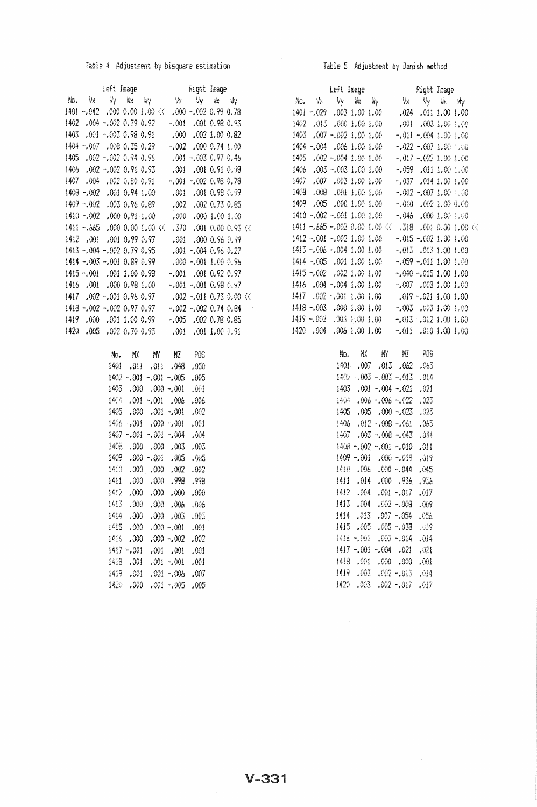## Table 4 Adjustment by bisquare estimation

| Left Image Right Image<br>No. Vx Vy Wx Wy Wx Vy Wx Wy |  |  |                             |                              |  |  |
|-------------------------------------------------------|--|--|-----------------------------|------------------------------|--|--|
|                                                       |  |  |                             |                              |  |  |
| 1401 -.042 .000 0.00 1.00 << .000 -.002 0.99 0.78     |  |  |                             |                              |  |  |
| 1402 .004 ~.002 0.79 0.92                             |  |  |                             | $-.001$ $.001$ $0.98$ $0.93$ |  |  |
| 1403 .001 -.003 0.98 0.91                             |  |  | $.000$ $.002$ $1.00$ $0.82$ |                              |  |  |
| 1404 - 007 - 008 0 35 0 29 -                          |  |  |                             | $-.002$ $.000$ 0.74 1.00     |  |  |
| 1405.002 -.002 0.94 0.96                              |  |  |                             | $.001 - .0030.970.46$        |  |  |
| 1406 .002 -.002 0.91 0.93 .001 .001 0.91 0.98         |  |  |                             |                              |  |  |
| 1407 .004 .002 0.80 0.91                              |  |  |                             | $-.001-.0020.980.78$         |  |  |
| 1408 - 002 - 001 0.94 1.00                            |  |  |                             | $.001$ $.001$ $0.98$ $0.99$  |  |  |
| 1409 - 002 .003 0.96 0.89                             |  |  |                             | .002 .002 0.73 0.85          |  |  |
| 1410 - 002 - 000 0.91 1.00                            |  |  | $.000 - .0001.001.00$       |                              |  |  |
| 1411 -.665 .000 0.00 1.00 << .370 .001 0.00 0.93 <<   |  |  |                             |                              |  |  |
| 1412 .001 .001 0.99 0.97                              |  |  |                             | .001 .000 0.95 0.99          |  |  |
| 1413 - 004 - 002 0.79 0.95                            |  |  |                             | $.001 - .004$ 0.96 0.27      |  |  |
| 1414 - 003 - 001 0.89 0.99                            |  |  | $.000 - .001$ 1.00 0.95     |                              |  |  |
| 1415 -.001 -.001 1.00 0.98 -                          |  |  |                             | $-.001$ $.001$ $0.92$ $0.97$ |  |  |
| 1416 .001 .000 0.98 1.00                              |  |  |                             | $-.001-.0010.980.97$         |  |  |
| 1417 .002 -.001 0.96 0.97                             |  |  |                             | $.002 - .011 0.73 0.00$ ((   |  |  |
| 1418 - 002 - 002 0.97 0.97                            |  |  |                             | $-.002-.002.0.74.0.84$       |  |  |
| 1419 .000 .001 1.00 0.99                              |  |  |                             | $-.005$ $.002$ 0.78 0.85     |  |  |
| 1420.005.0020.700.95                                  |  |  | $.001$ $.001$ $1.00$ $0.91$ |                              |  |  |

| Nα.  |          | <b>MY MY MZ</b> |         | POS   |
|------|----------|-----------------|---------|-------|
| 1401 |          | .011 .011 .048  |         | .050  |
| 1402 | $-.001$  | - 001 -         | -.005   | .005  |
| 1403 |          | .000000.        | -.001   | -991  |
| 1404 | . 001    | - 001           | - 006   | .006  |
| 1405 | .000     | $-001$          | - 001   | .002  |
| 1406 | - 001    | 000.            | -.001   | .001  |
| 1407 | - 001    | -.001           | - 004   | . 304 |
| 1408 | -000     | .000            | .003    | .003  |
| 1409 | . OK X 1 | - 001           | . 905   | . 46  |
| 1410 | . 000    | .000            | .002    | .002  |
| 1411 | .000     | .000            | .998    | -999  |
| 1412 | .000     | .000            | .000    | .000  |
| 1413 | -000     | ,000            | .006    | . 006 |
| 1414 | .000     | .000            | .003    | .003  |
| 1415 | .000     | .000            | -,001   | .001  |
| 1416 | .000     | .000            | - 002   | .002  |
| 1417 | $-.001$  | .001            | $-001$  | .001  |
| 1418 | .001     | .001.           | $-.001$ | .001  |
| 1419 | .001     | .001.           | - 006   | .007  |
| 1420 | . 900    | .001            | -.005   | .005  |

## Table 5 Adjustment by Danish method

|      | Left Image                                           |  |                              | Right Image                 |  |  |
|------|------------------------------------------------------|--|------------------------------|-----------------------------|--|--|
|      | No. Vx Vy kx ky Vx Vy kx ky                          |  |                              |                             |  |  |
|      | 1401 -.029 .003 1.00 1.00                            |  |                              | $.024$ $.011$ $1.00$ $1.00$ |  |  |
|      | 1402 .013 .000 1.00 1.00                             |  |                              | $00.1,00.1,500$ . 1.00.     |  |  |
| 1403 | .007 -.002 1.00 1.00                                 |  |                              | $-.011-.0041.001.00$        |  |  |
|      | 1404 - 004 - 006 1.00 1.00                           |  |                              | $-.022-.0071.001.00$        |  |  |
|      | 1405 .002 -.004 1.00 1.00 -.017 -.022 1.00 1.00      |  |                              |                             |  |  |
|      | 1406 .003 -.003 1.00 1.00                            |  | $-0.059$ . 011 1.00 1.00     |                             |  |  |
|      | 1407 .007 .003 1.00 1.00                             |  | $-.037$ .014 1.00 1.00       |                             |  |  |
|      | 1408 .008 .001 1.00 .00.1 00.1 002 -.007 1.00 .00    |  |                              |                             |  |  |
|      | 1409 .005 .000 1.00 1.00                             |  | $-.0100021.000.00$           |                             |  |  |
|      | 1410 - 002 - 001 1.00 1.00                           |  | $-0.046 = 0.0011.0011.00$    |                             |  |  |
|      | 1411 -.665 -.002 0.00 1.00 << .318 .001 0.00 1.00 << |  |                              |                             |  |  |
|      | 1412 -.001 -.002 1.00 1.00 -                         |  | $-.015-.0021.001.00$         |                             |  |  |
|      | 1413 - 006 - 004 1.00 1.00                           |  |                              | $-.013$ .013 1.00 1.00      |  |  |
|      | 1414 - 005 - 001 1.00 1.00                           |  | $-.059-.0111.001.00$         |                             |  |  |
|      | 1415 -.002 .002 1.00 1.00                            |  | $-.040-.0151.001.00$         |                             |  |  |
|      | 1416 .004 -.004 1.00 1.00                            |  |                              | $-.007$ $.008$ 1.00 1.00    |  |  |
|      | 1417 .002 -.001 1.00 1.00                            |  | $.019 - .0211.001.00$        |                             |  |  |
|      | 1418 - 003 000 1.00 1.00                             |  |                              | $-0.003$ .003 1.00 1.00     |  |  |
|      | 1419 - 002 .003 1.00 1.00                            |  | $-.013$ $.012$ $1.00$ $1.00$ |                             |  |  |
|      | 1420 1004 1004 1100 1100 -1011 1010 1001 100         |  |                              |                             |  |  |
|      |                                                      |  |                              |                             |  |  |
|      |                                                      |  |                              |                             |  |  |

| No.   |         | 撒 酌 紅             |               | - 209 |
|-------|---------|-------------------|---------------|-------|
| 1401. |         | .007 .013 .062    |               | .063  |
| 1402  |         | $-.003-.003-.013$ |               | -014  |
| 1403  |         | .001 -.004 -.021  |               | .021  |
| 1404  | . 60k   | $-.006-.022$      |               | .023  |
| 1405  | - 005   | $.000 - .023$     |               | .023  |
| 1406  | .012    | -.008             | - 061         | .063  |
| 1407  | .003    | -.008 -.043       |               | - 044 |
| 1408  | - 002   | $-.001-.010$      |               | .011  |
| 1409. | - 901 - |                   | $.000 - .019$ | .019  |
| 1410  | .006    |                   | .000 -.044    | .045  |
| 1411  | .014    |                   | .000 .936     | .936  |
| 1412  | . 004   |                   | .001 -.017    | .017  |
| 1413  | - 004   |                   | .002 -.008    | . 909 |
| 1414  | .013    |                   | $.007 - .054$ | .056  |
| 1415  | -005    |                   | $.005-038$    | -839  |
| 1416  | - 001   |                   | .003 -.014    | . 014 |
| 1417  | - 001   | - 004             | - 021         | .021  |
| 1419  | .001    |                   | .000.000      | .001  |
| 1419  | .003    |                   | $.002 - .013$ | 4 ان  |
| 1420  | . 003   |                   | .002 -.017    | .017  |

# $V-331$